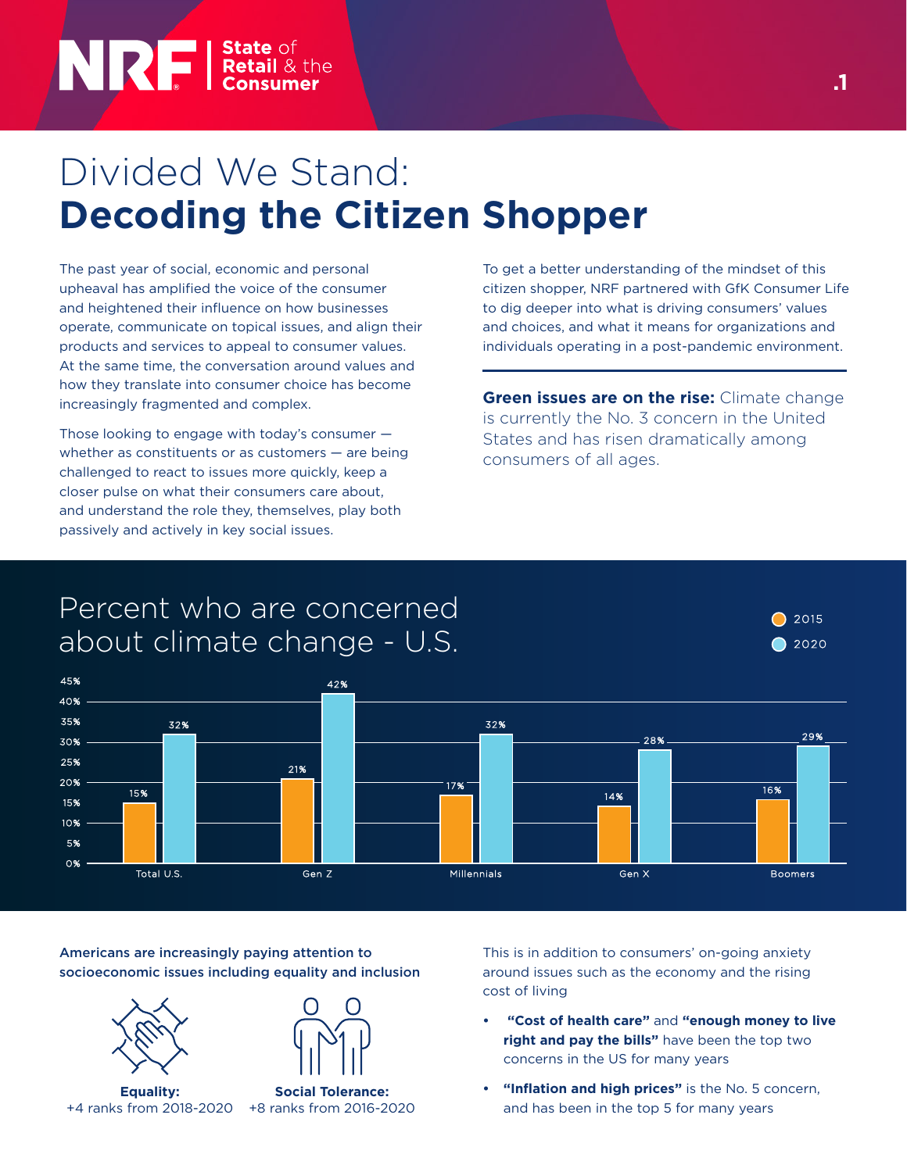# NRI I State of Retail & the

## Divided We Stand: **Decoding the Citizen Shopper**

The past year of social, economic and personal upheaval has amplified the voice of the consumer and heightened their influence on how businesses operate, communicate on topical issues, and align their products and services to appeal to consumer values. At the same time, the conversation around values and how they translate into consumer choice has become increasingly fragmented and complex.

Those looking to engage with today's consumer whether as constituents or as customers — are being challenged to react to issues more quickly, keep a closer pulse on what their consumers care about, and understand the role they, themselves, play both passively and actively in key social issues.

To get a better understanding of the mindset of this citizen shopper, NRF partnered with GfK Consumer Life to dig deeper into what is driving consumers' values and choices, and what it means for organizations and individuals operating in a post-pandemic environment.

**Green issues are on the rise:** Climate change is currently the No. 3 concern in the United States and has risen dramatically among consumers of all ages.

### Percent who are concerned about climate change - U.S.



Americans are increasingly paying attention to socioeconomic issues including equality and inclusion





**Equality:**  +4 ranks from 2018-2020 +8 ranks from 2016-2020

**Social Tolerance:** 

This is in addition to consumers' on-going anxiety around issues such as the economy and the rising cost of living

- **"Cost of health care"** and **"enough money to live right and pay the bills"** have been the top two concerns in the US for many years
- **• "Inflation and high prices"** is the No. 5 concern, and has been in the top 5 for many years

2015  $\bigcirc$  2020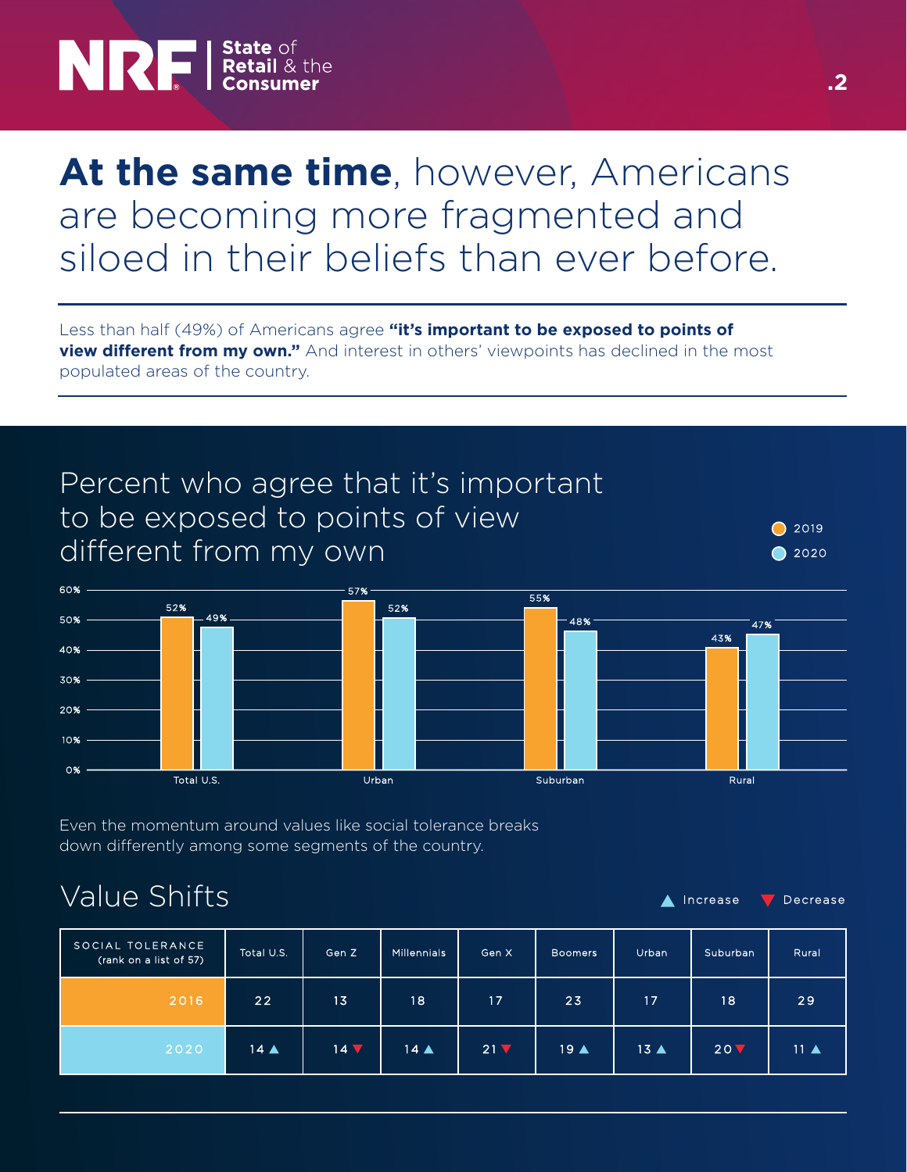# **NRF** *State* of **Retail & the**

### At the same time, however, Americans are becoming more fragmented and siloed in their beliefs than ever before.

Less than half (49%) of Americans agree **"it's important to be exposed to points of view different from my own."** And interest in others' viewpoints has declined in the most populated areas of the country.



Even the momentum around values like social tolerance breaks down differently among some segments of the country.

### Value Shifts

 $\blacksquare$  Increase  $\blacksquare$  Decrease

| SOCIAL TOLERANCE<br>(rank on a list of 57) | Total U.S.     | Gen Z         | <b>Millennials</b> | Gen X           | <b>Boomers</b>      | Urban          | Suburban, | Rural            |
|--------------------------------------------|----------------|---------------|--------------------|-----------------|---------------------|----------------|-----------|------------------|
| 2016                                       | 221            | 13            | 18                 | 17              | 23                  | 17             | 18        | 29               |
| 2020                                       | $14 \triangle$ | $14 \sqrt{ }$ | $14 \triangle$     | 21 <sub>V</sub> | $19 \blacktriangle$ | $13 \triangle$ | 20V       | $11$ $\triangle$ |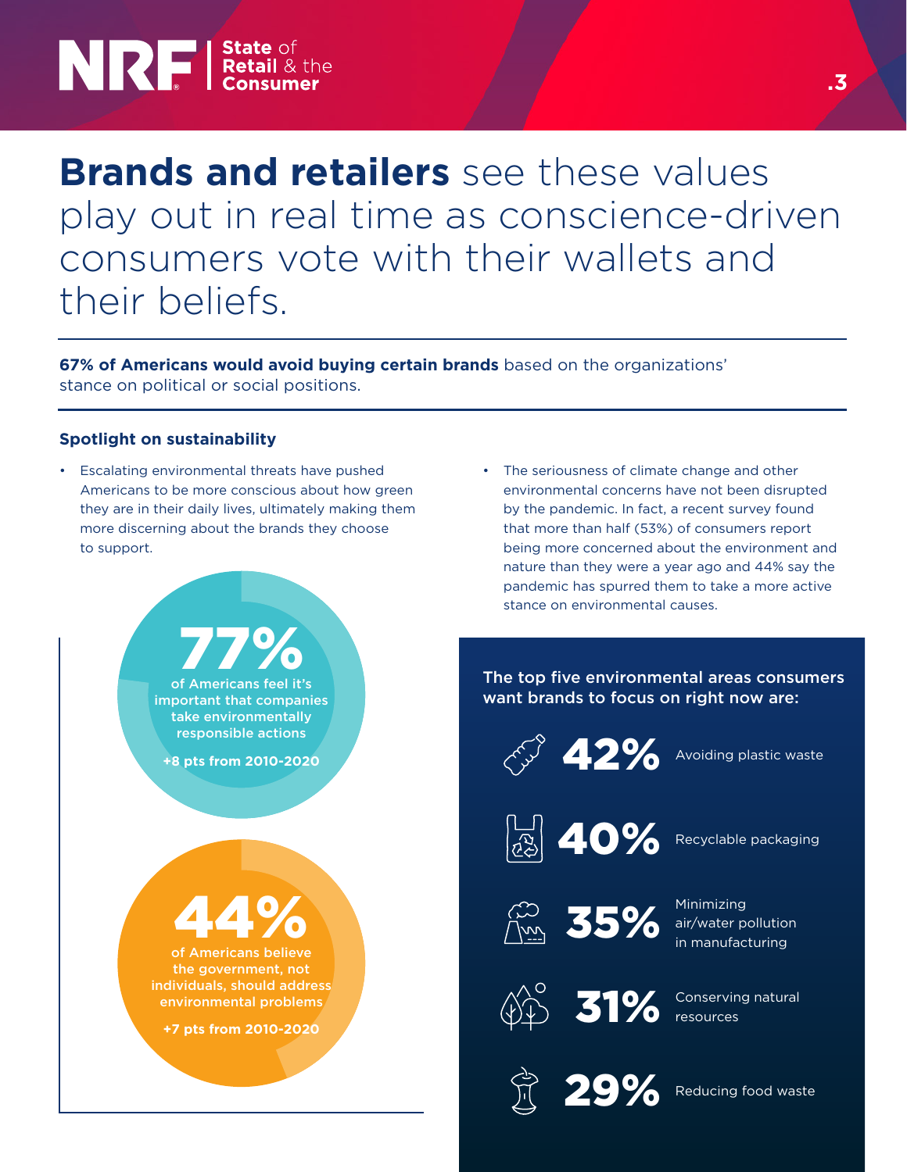## **NRE** *Retail* & the

### **Brands and retailers** see these values play out in real time as conscience-driven consumers vote with their wallets and their beliefs.

**67% of Americans would avoid buying certain brands** based on the organizations' stance on political or social positions.

#### **Spotlight on sustainability**

- Escalating environmental threats have pushed Americans to be more conscious about how green they are in their daily lives, ultimately making them more discerning about the brands they choose to support.
	- of Americans feel it's 77% important that companies take environmentally responsible actions **+8 pts from 2010-2020** of Americans believe 44% the government, not individuals, should address environmental problems **+7 pts from 2010-2020**
- The seriousness of climate change and other environmental concerns have not been disrupted by the pandemic. In fact, a recent survey found that more than half (53%) of consumers report being more concerned about the environment and nature than they were a year ago and 44% say the pandemic has spurred them to take a more active stance on environmental causes.

The top five environmental areas consumers want brands to focus on right now are:

42%



Recyclable packaging

Avoiding plastic waste



Minimizing air/water pollution in manufacturing



Conserving natural 31% Conservir

29%

Reducing food waste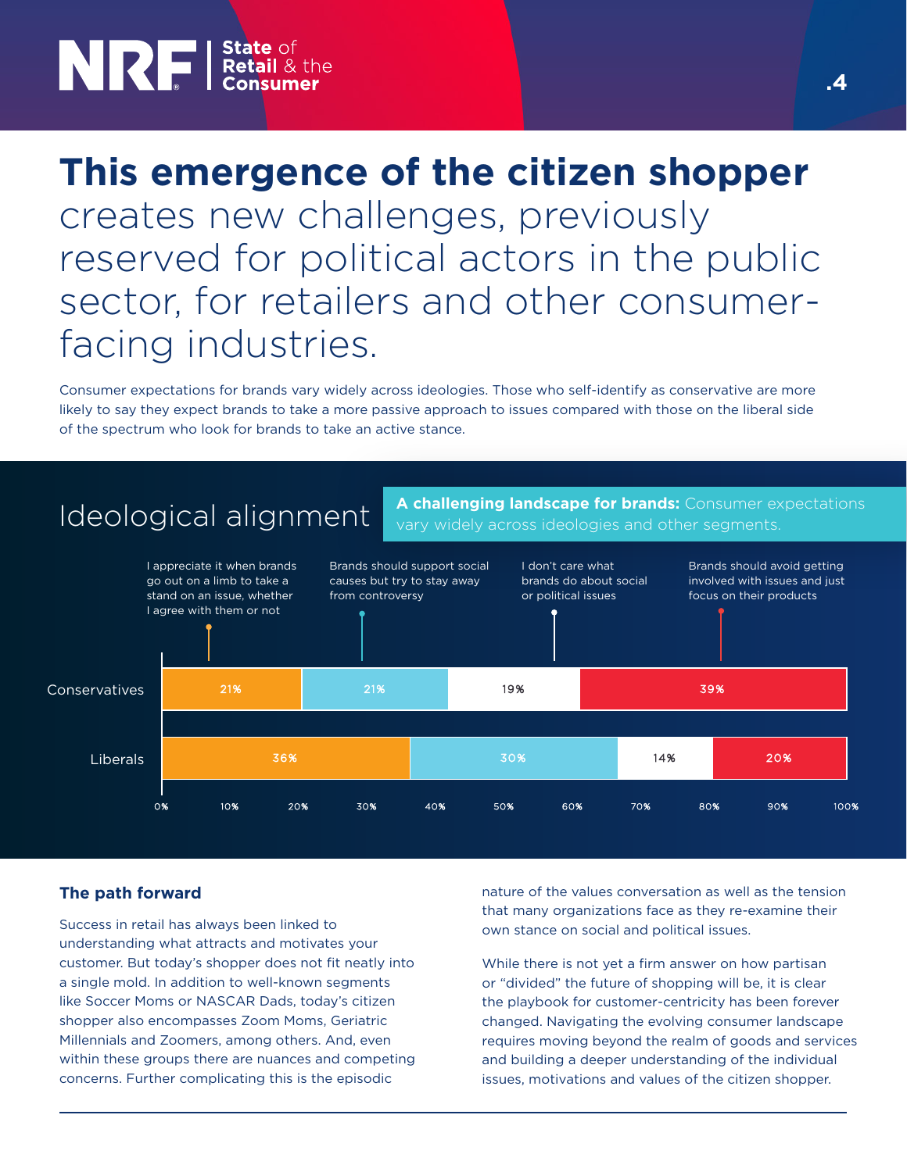## **NRF** *State* of<br> **Retail** & the

### **This emergence of the citizen shopper**  creates new challenges, previously reserved for political actors in the public sector, for retailers and other consumerfacing industries.

Consumer expectations for brands vary widely across ideologies. Those who self-identify as conservative are more likely to say they expect brands to take a more passive approach to issues compared with those on the liberal side of the spectrum who look for brands to take an active stance.



#### **The path forward**

Success in retail has always been linked to understanding what attracts and motivates your customer. But today's shopper does not fit neatly into a single mold. In addition to well-known segments like Soccer Moms or NASCAR Dads, today's citizen shopper also encompasses Zoom Moms, Geriatric Millennials and Zoomers, among others. And, even within these groups there are nuances and competing concerns. Further complicating this is the episodic

nature of the values conversation as well as the tension that many organizations face as they re-examine their own stance on social and political issues.

While there is not yet a firm answer on how partisan or "divided" the future of shopping will be, it is clear the playbook for customer-centricity has been forever changed. Navigating the evolving consumer landscape requires moving beyond the realm of goods and services and building a deeper understanding of the individual issues, motivations and values of the citizen shopper.